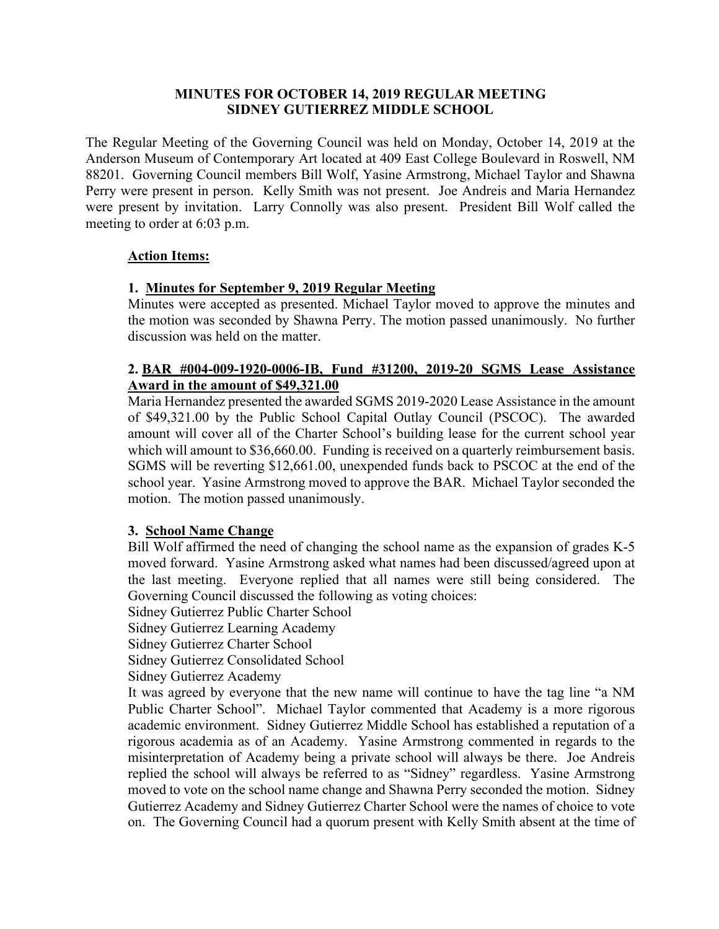# **MINUTES FOR OCTOBER 14, 2019 REGULAR MEETING SIDNEY GUTIERREZ MIDDLE SCHOOL**

The Regular Meeting of the Governing Council was held on Monday, October 14, 2019 at the Anderson Museum of Contemporary Art located at 409 East College Boulevard in Roswell, NM 88201. Governing Council members Bill Wolf, Yasine Armstrong, Michael Taylor and Shawna Perry were present in person. Kelly Smith was not present. Joe Andreis and Maria Hernandez were present by invitation. Larry Connolly was also present. President Bill Wolf called the meeting to order at 6:03 p.m.

# **Action Items:**

# **1. Minutes for September 9, 2019 Regular Meeting**

Minutes were accepted as presented. Michael Taylor moved to approve the minutes and the motion was seconded by Shawna Perry. The motion passed unanimously. No further discussion was held on the matter.

# **2. BAR #004-009-1920-0006-IB, Fund #31200, 2019-20 SGMS Lease Assistance Award in the amount of \$49,321.00**

Maria Hernandez presented the awarded SGMS 2019-2020 Lease Assistance in the amount of \$49,321.00 by the Public School Capital Outlay Council (PSCOC). The awarded amount will cover all of the Charter School's building lease for the current school year which will amount to \$36,660.00. Funding is received on a quarterly reimbursement basis. SGMS will be reverting \$12,661.00, unexpended funds back to PSCOC at the end of the school year. Yasine Armstrong moved to approve the BAR. Michael Taylor seconded the motion. The motion passed unanimously.

## **3. School Name Change**

Bill Wolf affirmed the need of changing the school name as the expansion of grades K-5 moved forward. Yasine Armstrong asked what names had been discussed/agreed upon at the last meeting. Everyone replied that all names were still being considered. The Governing Council discussed the following as voting choices:

Sidney Gutierrez Public Charter School

Sidney Gutierrez Learning Academy

Sidney Gutierrez Charter School

Sidney Gutierrez Consolidated School

Sidney Gutierrez Academy

It was agreed by everyone that the new name will continue to have the tag line "a NM Public Charter School". Michael Taylor commented that Academy is a more rigorous academic environment. Sidney Gutierrez Middle School has established a reputation of a rigorous academia as of an Academy. Yasine Armstrong commented in regards to the misinterpretation of Academy being a private school will always be there. Joe Andreis replied the school will always be referred to as "Sidney" regardless. Yasine Armstrong moved to vote on the school name change and Shawna Perry seconded the motion. Sidney Gutierrez Academy and Sidney Gutierrez Charter School were the names of choice to vote on. The Governing Council had a quorum present with Kelly Smith absent at the time of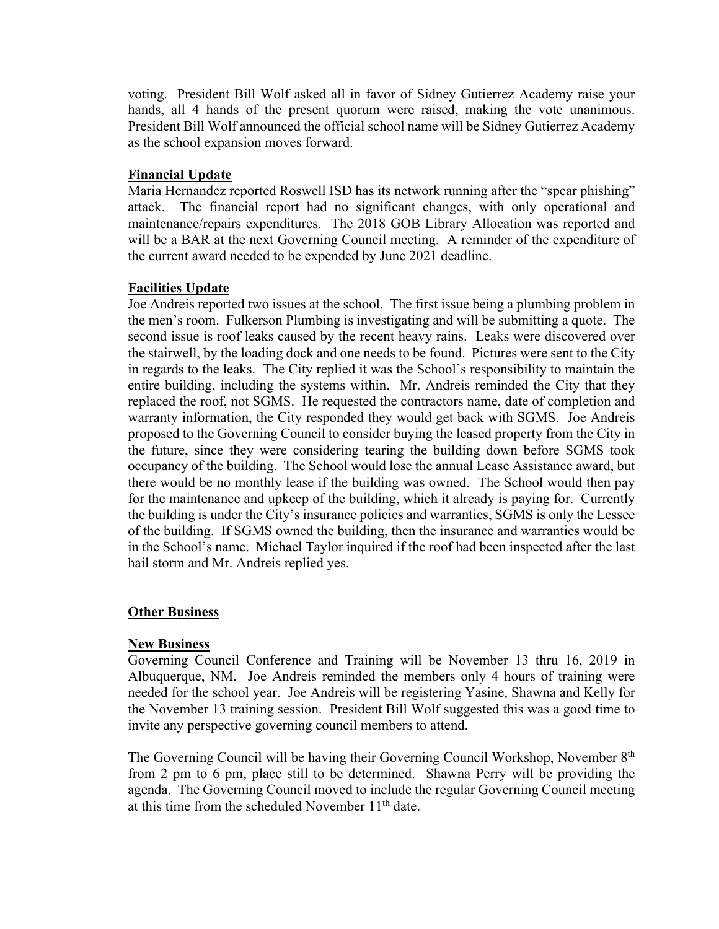voting. President Bill Wolf asked all in favor of Sidney Gutierrez Academy raise your hands, all 4 hands of the present quorum were raised, making the vote unanimous. President Bill Wolf announced the official school name will be Sidney Gutierrez Academy as the school expansion moves forward.

#### **Financial Update**

Maria Hernandez reported Roswell ISD has its network running after the "spear phishing" attack. The financial report had no significant changes, with only operational and maintenance/repairs expenditures. The 2018 GOB Library Allocation was reported and will be a BAR at the next Governing Council meeting. A reminder of the expenditure of the current award needed to be expended by June 2021 deadline.

#### **Facilities Update**

Joe Andreis reported two issues at the school. The first issue being a plumbing problem in the men's room. Fulkerson Plumbing is investigating and will be submitting a quote. The second issue is roof leaks caused by the recent heavy rains. Leaks were discovered over the stairwell, by the loading dock and one needs to be found. Pictures were sent to the City in regards to the leaks. The City replied it was the School's responsibility to maintain the entire building, including the systems within. Mr. Andreis reminded the City that they replaced the roof, not SGMS. He requested the contractors name, date of completion and warranty information, the City responded they would get back with SGMS. Joe Andreis proposed to the Governing Council to consider buying the leased property from the City in the future, since they were considering tearing the building down before SGMS took occupancy of the building. The School would lose the annual Lease Assistance award, but there would be no monthly lease if the building was owned. The School would then pay for the maintenance and upkeep of the building, which it already is paying for. Currently the building is under the City's insurance policies and warranties, SGMS is only the Lessee of the building. If SGMS owned the building, then the insurance and warranties would be in the School's name. Michael Taylor inquired if the roof had been inspected after the last hail storm and Mr. Andreis replied yes.

#### **Other Business**

#### **New Business**

Governing Council Conference and Training will be November 13 thru 16, 2019 in Albuquerque, NM. Joe Andreis reminded the members only 4 hours of training were needed for the school year. Joe Andreis will be registering Yasine, Shawna and Kelly for the November 13 training session. President Bill Wolf suggested this was a good time to invite any perspective governing council members to attend.

The Governing Council will be having their Governing Council Workshop, November 8th from 2 pm to 6 pm, place still to be determined. Shawna Perry will be providing the agenda. The Governing Council moved to include the regular Governing Council meeting at this time from the scheduled November 11th date.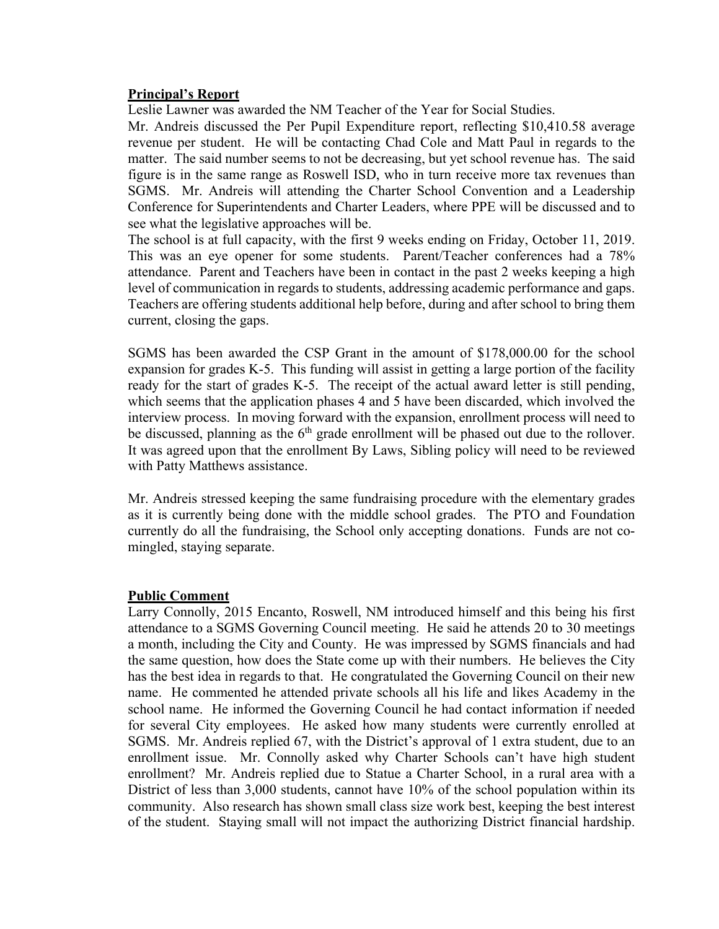#### **Principal's Report**

Leslie Lawner was awarded the NM Teacher of the Year for Social Studies.

Mr. Andreis discussed the Per Pupil Expenditure report, reflecting \$10,410.58 average revenue per student. He will be contacting Chad Cole and Matt Paul in regards to the matter. The said number seems to not be decreasing, but yet school revenue has. The said figure is in the same range as Roswell ISD, who in turn receive more tax revenues than SGMS. Mr. Andreis will attending the Charter School Convention and a Leadership Conference for Superintendents and Charter Leaders, where PPE will be discussed and to see what the legislative approaches will be.

The school is at full capacity, with the first 9 weeks ending on Friday, October 11, 2019. This was an eye opener for some students. Parent/Teacher conferences had a 78% attendance. Parent and Teachers have been in contact in the past 2 weeks keeping a high level of communication in regards to students, addressing academic performance and gaps. Teachers are offering students additional help before, during and after school to bring them current, closing the gaps.

SGMS has been awarded the CSP Grant in the amount of \$178,000.00 for the school expansion for grades K-5. This funding will assist in getting a large portion of the facility ready for the start of grades K-5. The receipt of the actual award letter is still pending, which seems that the application phases 4 and 5 have been discarded, which involved the interview process. In moving forward with the expansion, enrollment process will need to be discussed, planning as the  $6<sup>th</sup>$  grade enrollment will be phased out due to the rollover. It was agreed upon that the enrollment By Laws, Sibling policy will need to be reviewed with Patty Matthews assistance.

Mr. Andreis stressed keeping the same fundraising procedure with the elementary grades as it is currently being done with the middle school grades. The PTO and Foundation currently do all the fundraising, the School only accepting donations. Funds are not comingled, staying separate.

#### **Public Comment**

Larry Connolly, 2015 Encanto, Roswell, NM introduced himself and this being his first attendance to a SGMS Governing Council meeting. He said he attends 20 to 30 meetings a month, including the City and County. He was impressed by SGMS financials and had the same question, how does the State come up with their numbers. He believes the City has the best idea in regards to that. He congratulated the Governing Council on their new name. He commented he attended private schools all his life and likes Academy in the school name. He informed the Governing Council he had contact information if needed for several City employees. He asked how many students were currently enrolled at SGMS. Mr. Andreis replied 67, with the District's approval of 1 extra student, due to an enrollment issue. Mr. Connolly asked why Charter Schools can't have high student enrollment? Mr. Andreis replied due to Statue a Charter School, in a rural area with a District of less than 3,000 students, cannot have 10% of the school population within its community. Also research has shown small class size work best, keeping the best interest of the student. Staying small will not impact the authorizing District financial hardship.